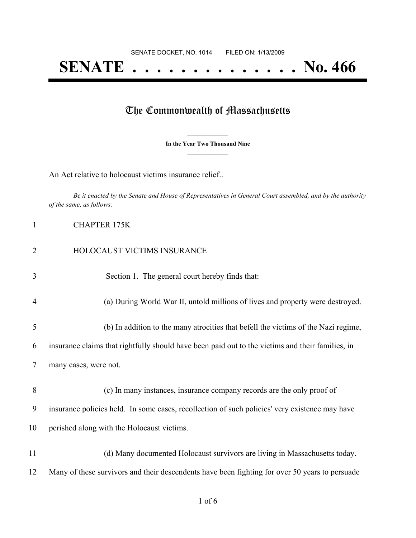## **SENATE . . . . . . . . . . . . . . No. 466**

## The Commonwealth of Massachusetts

**\_\_\_\_\_\_\_\_\_\_\_\_\_\_\_ In the Year Two Thousand Nine \_\_\_\_\_\_\_\_\_\_\_\_\_\_\_**

An Act relative to holocaust victims insurance relief..

Be it enacted by the Senate and House of Representatives in General Court assembled, and by the authority *of the same, as follows:*

| 1              | <b>CHAPTER 175K</b>                                                                              |
|----------------|--------------------------------------------------------------------------------------------------|
| $\overline{2}$ | HOLOCAUST VICTIMS INSURANCE                                                                      |
| 3              | Section 1. The general court hereby finds that:                                                  |
| $\overline{4}$ | (a) During World War II, untold millions of lives and property were destroyed.                   |
| 5              | (b) In addition to the many atrocities that befell the victims of the Nazi regime,               |
| 6              | insurance claims that rightfully should have been paid out to the victims and their families, in |
| 7              | many cases, were not.                                                                            |
| 8              | (c) In many instances, insurance company records are the only proof of                           |
| 9              | insurance policies held. In some cases, recollection of such policies' very existence may have   |
| 10             | perished along with the Holocaust victims.                                                       |
| 11             | (d) Many documented Holocaust survivors are living in Massachusetts today.                       |
| 12             | Many of these survivors and their descendents have been fighting for over 50 years to persuade   |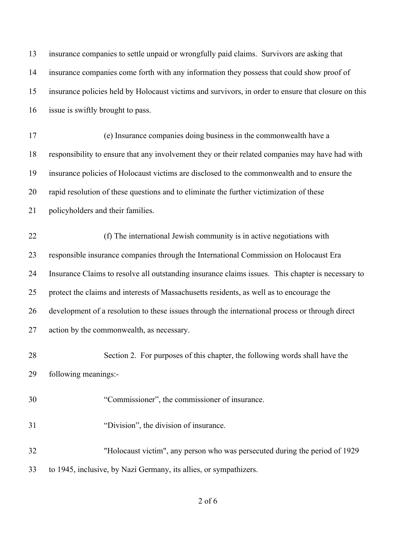| 13 | insurance companies to settle unpaid or wrongfully paid claims. Survivors are asking that           |
|----|-----------------------------------------------------------------------------------------------------|
| 14 | insurance companies come forth with any information they possess that could show proof of           |
| 15 | insurance policies held by Holocaust victims and survivors, in order to ensure that closure on this |
| 16 | issue is swiftly brought to pass.                                                                   |
| 17 | (e) Insurance companies doing business in the commonwealth have a                                   |
| 18 | responsibility to ensure that any involvement they or their related companies may have had with     |
| 19 | insurance policies of Holocaust victims are disclosed to the commonwealth and to ensure the         |
| 20 | rapid resolution of these questions and to eliminate the further victimization of these             |
| 21 | policyholders and their families.                                                                   |
| 22 | (f) The international Jewish community is in active negotiations with                               |
| 23 | responsible insurance companies through the International Commission on Holocaust Era               |
| 24 | Insurance Claims to resolve all outstanding insurance claims issues. This chapter is necessary to   |
| 25 | protect the claims and interests of Massachusetts residents, as well as to encourage the            |
| 26 | development of a resolution to these issues through the international process or through direct     |
| 27 | action by the commonwealth, as necessary.                                                           |
| 28 | Section 2. For purposes of this chapter, the following words shall have the                         |
| 29 | following meanings:-                                                                                |
| 30 | "Commissioner", the commissioner of insurance.                                                      |
| 31 | "Division", the division of insurance.                                                              |
| 32 | "Holocaust victim", any person who was persecuted during the period of 1929                         |
| 33 | to 1945, inclusive, by Nazi Germany, its allies, or sympathizers.                                   |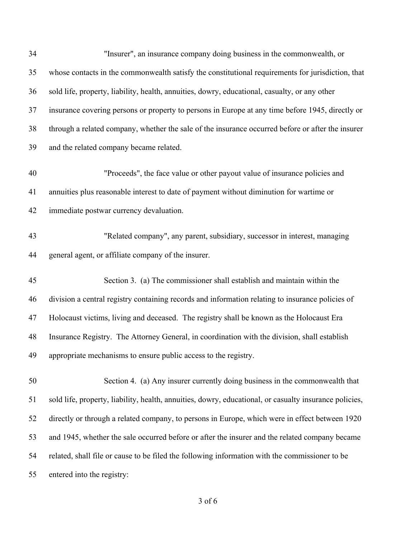| 34 | "Insurer", an insurance company doing business in the commonwealth, or                                 |
|----|--------------------------------------------------------------------------------------------------------|
| 35 | whose contacts in the commonwealth satisfy the constitutional requirements for jurisdiction, that      |
| 36 | sold life, property, liability, health, annuities, dowry, educational, casualty, or any other          |
| 37 | insurance covering persons or property to persons in Europe at any time before 1945, directly or       |
| 38 | through a related company, whether the sale of the insurance occurred before or after the insurer      |
| 39 | and the related company became related.                                                                |
| 40 | "Proceeds", the face value or other payout value of insurance policies and                             |
| 41 | annuities plus reasonable interest to date of payment without diminution for wartime or                |
| 42 | immediate postwar currency devaluation.                                                                |
| 43 | "Related company", any parent, subsidiary, successor in interest, managing                             |
| 44 | general agent, or affiliate company of the insurer.                                                    |
| 45 | Section 3. (a) The commissioner shall establish and maintain within the                                |
| 46 | division a central registry containing records and information relating to insurance policies of       |
| 47 | Holocaust victims, living and deceased. The registry shall be known as the Holocaust Era               |
| 48 | Insurance Registry. The Attorney General, in coordination with the division, shall establish           |
| 49 | appropriate mechanisms to ensure public access to the registry.                                        |
| 50 | Section 4. (a) Any insurer currently doing business in the commonwealth that                           |
| 51 | sold life, property, liability, health, annuities, dowry, educational, or casualty insurance policies, |
| 52 | directly or through a related company, to persons in Europe, which were in effect between 1920         |
| 53 | and 1945, whether the sale occurred before or after the insurer and the related company became         |
| 54 | related, shall file or cause to be filed the following information with the commissioner to be         |
| 55 | entered into the registry:                                                                             |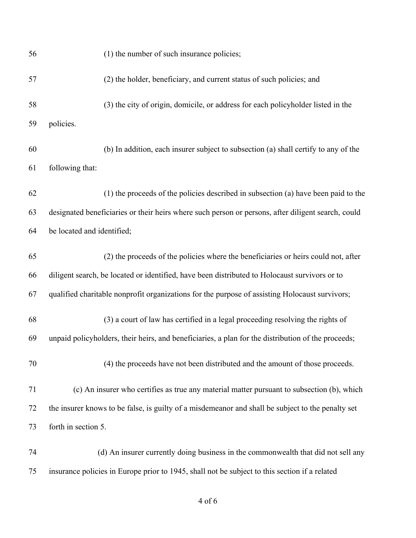| 56 | (1) the number of such insurance policies;                                                         |
|----|----------------------------------------------------------------------------------------------------|
| 57 | (2) the holder, beneficiary, and current status of such policies; and                              |
| 58 | (3) the city of origin, domicile, or address for each policyholder listed in the                   |
| 59 | policies.                                                                                          |
| 60 | (b) In addition, each insurer subject to subsection (a) shall certify to any of the                |
| 61 | following that:                                                                                    |
| 62 | (1) the proceeds of the policies described in subsection (a) have been paid to the                 |
| 63 | designated beneficiaries or their heirs where such person or persons, after diligent search, could |
| 64 | be located and identified;                                                                         |
| 65 | (2) the proceeds of the policies where the beneficiaries or heirs could not, after                 |
| 66 | diligent search, be located or identified, have been distributed to Holocaust survivors or to      |
| 67 | qualified charitable nonprofit organizations for the purpose of assisting Holocaust survivors;     |
| 68 | (3) a court of law has certified in a legal proceeding resolving the rights of                     |
| 69 | unpaid policyholders, their heirs, and beneficiaries, a plan for the distribution of the proceeds; |
| 70 | (4) the proceeds have not been distributed and the amount of those proceeds.                       |
| 71 | (c) An insurer who certifies as true any material matter pursuant to subsection (b), which         |
| 72 | the insurer knows to be false, is guilty of a misdemeanor and shall be subject to the penalty set  |
| 73 | forth in section 5.                                                                                |
| 74 | (d) An insurer currently doing business in the commonwealth that did not sell any                  |
| 75 | insurance policies in Europe prior to 1945, shall not be subject to this section if a related      |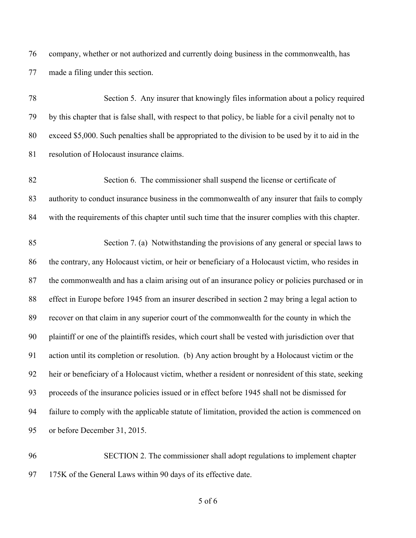company, whether or not authorized and currently doing business in the commonwealth, has made a filing under this section.

| 78 | Section 5. Any insurer that knowingly files information about a policy required                        |
|----|--------------------------------------------------------------------------------------------------------|
| 79 | by this chapter that is false shall, with respect to that policy, be liable for a civil penalty not to |
| 80 | exceed \$5,000. Such penalties shall be appropriated to the division to be used by it to aid in the    |
| 81 | resolution of Holocaust insurance claims.                                                              |
| 82 | Section 6. The commissioner shall suspend the license or certificate of                                |
| 83 | authority to conduct insurance business in the commonwealth of any insurer that fails to comply        |
| 84 | with the requirements of this chapter until such time that the insurer complies with this chapter.     |
| 85 | Section 7. (a) Notwithstanding the provisions of any general or special laws to                        |
| 86 | the contrary, any Holocaust victim, or heir or beneficiary of a Holocaust victim, who resides in       |
| 87 | the commonwealth and has a claim arising out of an insurance policy or policies purchased or in        |
| 88 | effect in Europe before 1945 from an insurer described in section 2 may bring a legal action to        |
| 89 | recover on that claim in any superior court of the commonwealth for the county in which the            |
| 90 | plaintiff or one of the plaintiffs resides, which court shall be vested with jurisdiction over that    |
| 91 | action until its completion or resolution. (b) Any action brought by a Holocaust victim or the         |
| 92 | heir or beneficiary of a Holocaust victim, whether a resident or nonresident of this state, seeking    |
| 93 | proceeds of the insurance policies issued or in effect before 1945 shall not be dismissed for          |
| 94 | failure to comply with the applicable statute of limitation, provided the action is commenced on       |
| 95 | or before December 31, 2015.                                                                           |
|    |                                                                                                        |

 SECTION 2. The commissioner shall adopt regulations to implement chapter 175K of the General Laws within 90 days of its effective date.